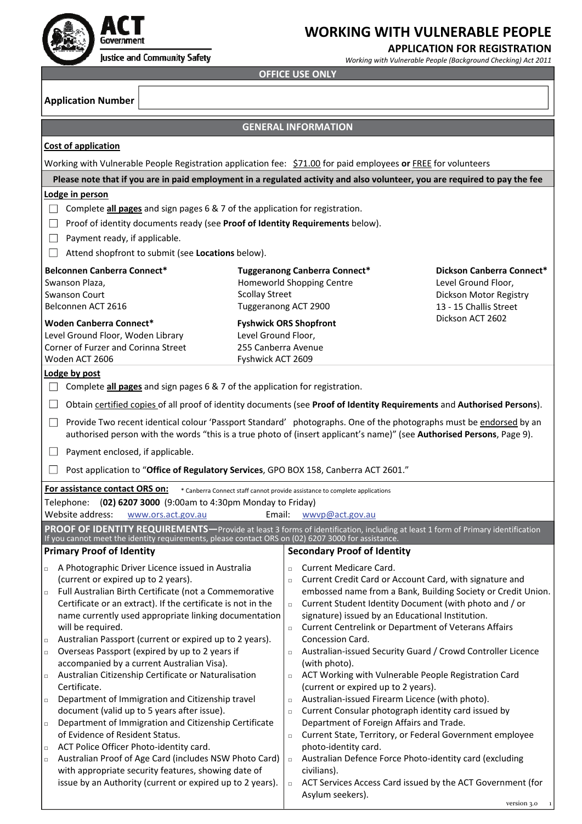

#### **APPLICATION FOR REGISTRATION**

*Working with Vulnerable People (Background Checking) Act 2011*

**OFFICE USE ONLY**

**Application Number**

T

### **GENERAL INFORMATION**

|                                                                                                                                                                                                                                                   |                                                                              | <b>ULIVERAL IIVFURIVIA I IUIV</b>                                                                              |                                                              |  |  |  |  |  |  |  |
|---------------------------------------------------------------------------------------------------------------------------------------------------------------------------------------------------------------------------------------------------|------------------------------------------------------------------------------|----------------------------------------------------------------------------------------------------------------|--------------------------------------------------------------|--|--|--|--|--|--|--|
| Cost of application                                                                                                                                                                                                                               |                                                                              |                                                                                                                |                                                              |  |  |  |  |  |  |  |
| Working with Vulnerable People Registration application fee: \$71.00 for paid employees or FREE for volunteers                                                                                                                                    |                                                                              |                                                                                                                |                                                              |  |  |  |  |  |  |  |
| Please note that if you are in paid employment in a regulated activity and also volunteer, you are required to pay the fee                                                                                                                        |                                                                              |                                                                                                                |                                                              |  |  |  |  |  |  |  |
| Lodge in person                                                                                                                                                                                                                                   |                                                                              |                                                                                                                |                                                              |  |  |  |  |  |  |  |
| Complete all pages and sign pages 6 & 7 of the application for registration.<br>$\Box$                                                                                                                                                            |                                                                              |                                                                                                                |                                                              |  |  |  |  |  |  |  |
| Proof of identity documents ready (see Proof of Identity Requirements below).                                                                                                                                                                     |                                                                              |                                                                                                                |                                                              |  |  |  |  |  |  |  |
| Payment ready, if applicable.<br>$\Box$<br>Attend shopfront to submit (see Locations below).                                                                                                                                                      |                                                                              |                                                                                                                |                                                              |  |  |  |  |  |  |  |
|                                                                                                                                                                                                                                                   |                                                                              |                                                                                                                |                                                              |  |  |  |  |  |  |  |
| <b>Belconnen Canberra Connect*</b><br>Swanson Plaza,                                                                                                                                                                                              |                                                                              | <b>Tuggeranong Canberra Connect*</b><br>Homeworld Shopping Centre                                              | Dickson Canberra Connect*<br>Level Ground Floor,             |  |  |  |  |  |  |  |
| <b>Swanson Court</b>                                                                                                                                                                                                                              | <b>Scollay Street</b>                                                        |                                                                                                                | Dickson Motor Registry                                       |  |  |  |  |  |  |  |
| Belconnen ACT 2616                                                                                                                                                                                                                                |                                                                              | Tuggeranong ACT 2900                                                                                           | 13 - 15 Challis Street                                       |  |  |  |  |  |  |  |
| <b>Woden Canberra Connect*</b>                                                                                                                                                                                                                    |                                                                              | <b>Fyshwick ORS Shopfront</b>                                                                                  | Dickson ACT 2602                                             |  |  |  |  |  |  |  |
| Level Ground Floor, Woden Library<br>Corner of Furzer and Corinna Street                                                                                                                                                                          |                                                                              | Level Ground Floor,<br>255 Canberra Avenue                                                                     |                                                              |  |  |  |  |  |  |  |
| Woden ACT 2606                                                                                                                                                                                                                                    |                                                                              | Fyshwick ACT 2609                                                                                              |                                                              |  |  |  |  |  |  |  |
| Lodge by post                                                                                                                                                                                                                                     |                                                                              |                                                                                                                |                                                              |  |  |  |  |  |  |  |
|                                                                                                                                                                                                                                                   | Complete all pages and sign pages 6 & 7 of the application for registration. |                                                                                                                |                                                              |  |  |  |  |  |  |  |
| Obtain certified copies of all proof of identity documents (see Proof of Identity Requirements and Authorised Persons).<br>$\perp$                                                                                                                |                                                                              |                                                                                                                |                                                              |  |  |  |  |  |  |  |
| Provide Two recent identical colour 'Passport Standard' photographs. One of the photographs must be endorsed by an<br>ш<br>authorised person with the words "this is a true photo of (insert applicant's name)" (see Authorised Persons, Page 9). |                                                                              |                                                                                                                |                                                              |  |  |  |  |  |  |  |
| Payment enclosed, if applicable.<br>ப                                                                                                                                                                                                             |                                                                              |                                                                                                                |                                                              |  |  |  |  |  |  |  |
| Post application to "Office of Regulatory Services, GPO BOX 158, Canberra ACT 2601."                                                                                                                                                              |                                                                              |                                                                                                                |                                                              |  |  |  |  |  |  |  |
| For assistance contact ORS on:                                                                                                                                                                                                                    |                                                                              | * Canberra Connect staff cannot provide assistance to complete applications                                    |                                                              |  |  |  |  |  |  |  |
| (02) 6207 3000 (9:00am to 4:30pm Monday to Friday)<br>Telephone:                                                                                                                                                                                  |                                                                              |                                                                                                                |                                                              |  |  |  |  |  |  |  |
| Website address:<br>www.ors.act.gov.au                                                                                                                                                                                                            | Email:                                                                       | wwyp@act.gov.au                                                                                                |                                                              |  |  |  |  |  |  |  |
| PROOF OF IDENTITY REQUIREMENTS—Provide at least 3 forms of identification, including at least 1 form of Primary identification<br>If you cannot meet the identity requirements, please contact ORS on (02) 6207 3000 for assistance.              |                                                                              |                                                                                                                |                                                              |  |  |  |  |  |  |  |
| <b>Primary Proof of Identity</b>                                                                                                                                                                                                                  |                                                                              | <b>Secondary Proof of Identity</b>                                                                             |                                                              |  |  |  |  |  |  |  |
| A Photographic Driver Licence issued in Australia<br>$\Box$<br>(current or expired up to 2 years).                                                                                                                                                |                                                                              | Current Medicare Card.<br>$\Box$                                                                               |                                                              |  |  |  |  |  |  |  |
| Full Australian Birth Certificate (not a Commemorative<br>$\Box$                                                                                                                                                                                  |                                                                              | Current Credit Card or Account Card, with signature and<br>$\Box$                                              | embossed name from a Bank, Building Society or Credit Union. |  |  |  |  |  |  |  |
| Certificate or an extract). If the certificate is not in the                                                                                                                                                                                      |                                                                              | Current Student Identity Document (with photo and / or<br>$\Box$                                               |                                                              |  |  |  |  |  |  |  |
| name currently used appropriate linking documentation                                                                                                                                                                                             |                                                                              | signature) issued by an Educational Institution.                                                               |                                                              |  |  |  |  |  |  |  |
| will be required.<br>Australian Passport (current or expired up to 2 years).<br>$\Box$                                                                                                                                                            |                                                                              | Current Centrelink or Department of Veterans Affairs<br>$\Box$<br>Concession Card.                             |                                                              |  |  |  |  |  |  |  |
| Overseas Passport (expired by up to 2 years if<br>$\Box$                                                                                                                                                                                          |                                                                              | Australian-issued Security Guard / Crowd Controller Licence<br>$\Box$                                          |                                                              |  |  |  |  |  |  |  |
| accompanied by a current Australian Visa).                                                                                                                                                                                                        |                                                                              | (with photo).                                                                                                  |                                                              |  |  |  |  |  |  |  |
| Australian Citizenship Certificate or Naturalisation<br>$\Box$<br>Certificate.                                                                                                                                                                    |                                                                              | ACT Working with Vulnerable People Registration Card<br>$\Box$<br>(current or expired up to 2 years).          |                                                              |  |  |  |  |  |  |  |
| Department of Immigration and Citizenship travel<br>$\Box$                                                                                                                                                                                        |                                                                              | Australian-issued Firearm Licence (with photo).<br>$\Box$                                                      |                                                              |  |  |  |  |  |  |  |
| document (valid up to 5 years after issue).                                                                                                                                                                                                       |                                                                              | Current Consular photograph identity card issued by<br>$\Box$                                                  |                                                              |  |  |  |  |  |  |  |
| Department of Immigration and Citizenship Certificate<br>$\Box$<br>of Evidence of Resident Status.                                                                                                                                                |                                                                              | Department of Foreign Affairs and Trade.<br>Current State, Territory, or Federal Government employee<br>$\Box$ |                                                              |  |  |  |  |  |  |  |
| ACT Police Officer Photo-identity card.<br>$\Box$                                                                                                                                                                                                 |                                                                              | photo-identity card.                                                                                           |                                                              |  |  |  |  |  |  |  |
| Australian Proof of Age Card (includes NSW Photo Card)<br>$\Box$                                                                                                                                                                                  |                                                                              | Australian Defence Force Photo-identity card (excluding<br>$\Box$                                              |                                                              |  |  |  |  |  |  |  |
| with appropriate security features, showing date of<br>issue by an Authority (current or expired up to 2 years).                                                                                                                                  |                                                                              | civilians).<br>ACT Services Access Card issued by the ACT Government (for<br>$\Box$                            |                                                              |  |  |  |  |  |  |  |
|                                                                                                                                                                                                                                                   |                                                                              | Asylum seekers).                                                                                               |                                                              |  |  |  |  |  |  |  |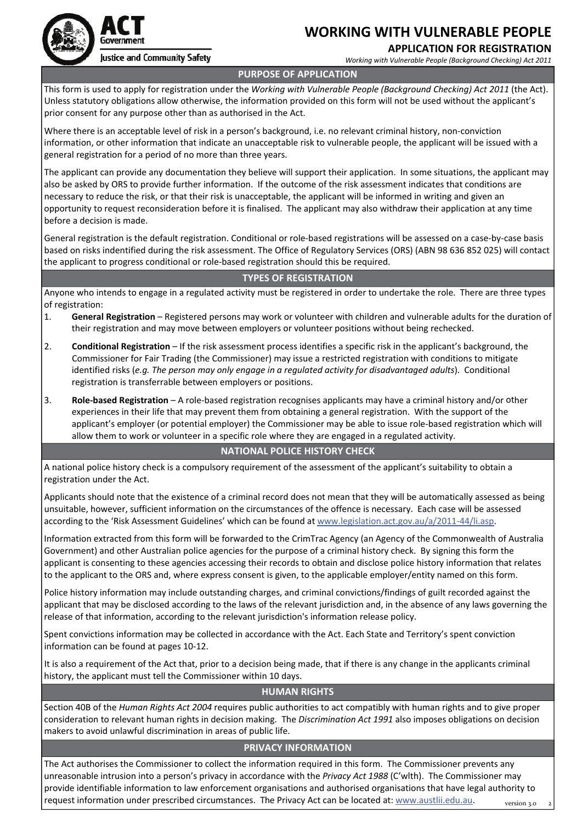

### **APPLICATION FOR REGISTRATION**

*Working with Vulnerable People (Background Checking) Act 2011*



Justice and Community Safety

#### **PURPOSE OF APPLICATION**

This form is used to apply for registration under the *Working with Vulnerable People (Background Checking) Act 2011* (the Act). Unless statutory obligations allow otherwise, the information provided on this form will not be used without the applicant's prior consent for any purpose other than as authorised in the Act.

Where there is an acceptable level of risk in a person's background, i.e. no relevant criminal history, non‐conviction information, or other information that indicate an unacceptable risk to vulnerable people, the applicant will be issued with a general registration for a period of no more than three years.

The applicant can provide any documentation they believe will support their application. In some situations, the applicant may also be asked by ORS to provide further information. If the outcome of the risk assessment indicates that conditions are necessary to reduce the risk, or that their risk is unacceptable, the applicant will be informed in writing and given an opportunity to request reconsideration before it is finalised. The applicant may also withdraw their application at any time before a decision is made.

General registration is the default registration. Conditional or role‐based registrations will be assessed on a case‐by‐case basis based on risks indentified during the risk assessment. The Office of Regulatory Services (ORS) (ABN 98 636 852 025) will contact the applicant to progress conditional or role‐based registration should this be required.

#### **TYPES OF REGISTRATION**

Anyone who intends to engage in a regulated activity must be registered in order to undertake the role. There are three types of registration:

- 1. **General Registration** Registered persons may work or volunteer with children and vulnerable adults for the duration of their registration and may move between employers or volunteer positions without being rechecked.
- 2. **Conditional Registration** If the risk assessment process identifies a specific risk in the applicant's background, the Commissioner for Fair Trading (the Commissioner) may issue a restricted registration with conditions to mitigate identified risks (*e.g. The person may only engage in a regulated activity for disadvantaged adults*). Conditional registration is transferrable between employers or positions.
- 3. **Role‐based Registration** A role‐based registration recognises applicants may have a criminal history and/or other experiences in their life that may prevent them from obtaining a general registration. With the support of the applicant's employer (or potential employer) the Commissioner may be able to issue role‐based registration which will allow them to work or volunteer in a specific role where they are engaged in a regulated activity.

#### **NATIONAL POLICE HISTORY CHECK**

A national police history check is a compulsory requirement of the assessment of the applicant's suitability to obtain a registration under the Act.

Applicants should note that the existence of a criminal record does not mean that they will be automatically assessed as being unsuitable, however, sufficient information on the circumstances of the offence is necessary. Each case will be assessed according to the 'Risk Assessment Guidelines' which can be found at [www.legislation.act.gov.au/a/2011](http://www.legislation.act.gov.au/a/2011-44/li.asp)‐44/li.asp.

Information extracted from this form will be forwarded to the CrimTrac Agency (an Agency of the Commonwealth of Australia Government) and other Australian police agencies for the purpose of a criminal history check. By signing this form the applicant is consenting to these agencies accessing their records to obtain and disclose police history information that relates to the applicant to the ORS and, where express consent is given, to the applicable employer/entity named on this form.

Police history information may include outstanding charges, and criminal convictions/findings of guilt recorded against the applicant that may be disclosed according to the laws of the relevant jurisdiction and, in the absence of any laws governing the release of that information, according to the relevant jurisdiction's information release policy.

Spent convictions information may be collected in accordance with the Act. Each State and Territory's spent conviction information can be found at pages 10‐12.

It is also a requirement of the Act that, prior to a decision being made, that if there is any change in the applicants criminal history, the applicant must tell the Commissioner within 10 days.

#### **HUMAN RIGHTS**

Section 40B of the *Human Rights Act 2004* requires public authorities to act compatibly with human rights and to give proper consideration to relevant human rights in decision making. The *Discrimination Act 1991* also imposes obligations on decision makers to avoid unlawful discrimination in areas of public life.

#### **PRIVACY INFORMATION**

The Act authorises the Commissioner to collect the information required in this form. The Commissioner prevents any unreasonable intrusion into a person's privacy in accordance with the *Privacy Act 1988* (C'wlth). The Commissioner may provide identifiable information to law enforcement organisations and authorised organisations that have legal authority to request information under prescribed circumstances. The Privacy Act can be located at: [www.austlii.edu.au](http://www.austlii.edu.au).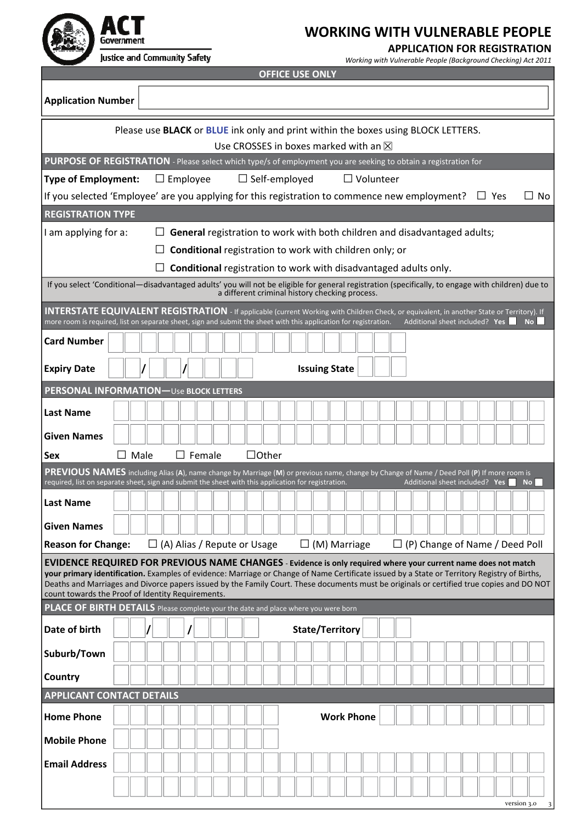

#### **APPLICATION FOR REGISTRATION**

*Working with Vulnerable People (Background Checking) Act 2011*

|                                                                                                                                                                                                                                                                                                                                                       | <b>OFFICE USE ONLY</b>                       |      |  |  |                                    |  |  |  |              |                      |                        |                                                                                                 |  |  |  |                                |                                       |           |                |
|-------------------------------------------------------------------------------------------------------------------------------------------------------------------------------------------------------------------------------------------------------------------------------------------------------------------------------------------------------|----------------------------------------------|------|--|--|------------------------------------|--|--|--|--------------|----------------------|------------------------|-------------------------------------------------------------------------------------------------|--|--|--|--------------------------------|---------------------------------------|-----------|----------------|
| <b>Application Number</b>                                                                                                                                                                                                                                                                                                                             |                                              |      |  |  |                                    |  |  |  |              |                      |                        |                                                                                                 |  |  |  |                                |                                       |           |                |
|                                                                                                                                                                                                                                                                                                                                                       |                                              |      |  |  |                                    |  |  |  |              |                      |                        | Please use <b>BLACK</b> or <b>BLUE</b> ink only and print within the boxes using BLOCK LETTERS. |  |  |  |                                |                                       |           |                |
|                                                                                                                                                                                                                                                                                                                                                       | Use CROSSES in boxes marked with an $\times$ |      |  |  |                                    |  |  |  |              |                      |                        |                                                                                                 |  |  |  |                                |                                       |           |                |
| PURPOSE OF REGISTRATION - Please select which type/s of employment you are seeking to obtain a registration for                                                                                                                                                                                                                                       |                                              |      |  |  |                                    |  |  |  |              |                      |                        |                                                                                                 |  |  |  |                                |                                       |           |                |
| <b>Type of Employment:</b>                                                                                                                                                                                                                                                                                                                            |                                              |      |  |  | $\Box$ Employee                    |  |  |  |              | $\Box$ Self-employed |                        | $\Box$ Volunteer                                                                                |  |  |  |                                |                                       |           |                |
| If you selected 'Employee' are you applying for this registration to commence new employment?                                                                                                                                                                                                                                                         |                                              |      |  |  |                                    |  |  |  |              |                      |                        |                                                                                                 |  |  |  | $\Box$ Yes                     |                                       |           | No.            |
| <b>REGISTRATION TYPE</b>                                                                                                                                                                                                                                                                                                                              |                                              |      |  |  |                                    |  |  |  |              |                      |                        |                                                                                                 |  |  |  |                                |                                       |           |                |
| I am applying for a:                                                                                                                                                                                                                                                                                                                                  |                                              |      |  |  |                                    |  |  |  |              |                      |                        | General registration to work with both children and disadvantaged adults;                       |  |  |  |                                |                                       |           |                |
|                                                                                                                                                                                                                                                                                                                                                       |                                              |      |  |  |                                    |  |  |  |              |                      |                        | <b>Conditional</b> registration to work with children only; or                                  |  |  |  |                                |                                       |           |                |
|                                                                                                                                                                                                                                                                                                                                                       |                                              |      |  |  |                                    |  |  |  |              |                      |                        | <b>Conditional</b> registration to work with disadvantaged adults only.                         |  |  |  |                                |                                       |           |                |
| If you select 'Conditional-disadvantaged adults' you will not be eligible for general registration (specifically, to engage with children) due to                                                                                                                                                                                                     |                                              |      |  |  |                                    |  |  |  |              |                      |                        |                                                                                                 |  |  |  |                                |                                       |           |                |
|                                                                                                                                                                                                                                                                                                                                                       |                                              |      |  |  |                                    |  |  |  |              |                      |                        | a different criminal history checking process.                                                  |  |  |  |                                |                                       |           |                |
| <b>INTERSTATE EQUIVALENT REGISTRATION</b> - If applicable (current Working with Children Check, or equivalent, in another State or Territory). If<br>more room is required, list on separate sheet, sign and submit the sheet with this application for registration.                                                                                 |                                              |      |  |  |                                    |  |  |  |              |                      |                        |                                                                                                 |  |  |  |                                | Additional sheet included? Yes        |           | N <sub>O</sub> |
| <b>Card Number</b>                                                                                                                                                                                                                                                                                                                                    |                                              |      |  |  |                                    |  |  |  |              |                      |                        |                                                                                                 |  |  |  |                                |                                       |           |                |
|                                                                                                                                                                                                                                                                                                                                                       |                                              |      |  |  |                                    |  |  |  |              |                      |                        |                                                                                                 |  |  |  |                                |                                       |           |                |
| <b>Expiry Date</b>                                                                                                                                                                                                                                                                                                                                    |                                              |      |  |  |                                    |  |  |  |              |                      | <b>Issuing State</b>   |                                                                                                 |  |  |  |                                |                                       |           |                |
| PERSONAL INFORMATION-Use BLOCK LETTERS                                                                                                                                                                                                                                                                                                                |                                              |      |  |  |                                    |  |  |  |              |                      |                        |                                                                                                 |  |  |  |                                |                                       |           |                |
| <b>Last Name</b>                                                                                                                                                                                                                                                                                                                                      |                                              |      |  |  |                                    |  |  |  |              |                      |                        |                                                                                                 |  |  |  |                                |                                       |           |                |
| <b>Given Names</b>                                                                                                                                                                                                                                                                                                                                    |                                              |      |  |  |                                    |  |  |  |              |                      |                        |                                                                                                 |  |  |  |                                |                                       |           |                |
| Sex                                                                                                                                                                                                                                                                                                                                                   |                                              | Male |  |  | $\Box$ Female                      |  |  |  | $\Box$ Other |                      |                        |                                                                                                 |  |  |  |                                |                                       |           |                |
| PREVIOUS NAMES including Alias (A), name change by Marriage (M) or previous name, change by Change of Name / Deed Poll (P) If more room is                                                                                                                                                                                                            |                                              |      |  |  |                                    |  |  |  |              |                      |                        |                                                                                                 |  |  |  |                                |                                       |           |                |
| required, list on separate sheet, sign and submit the sheet with this application for registration.                                                                                                                                                                                                                                                   |                                              |      |  |  |                                    |  |  |  |              |                      |                        |                                                                                                 |  |  |  | Additional sheet included? Yes |                                       | <b>No</b> |                |
| <b>Last Name</b>                                                                                                                                                                                                                                                                                                                                      |                                              |      |  |  |                                    |  |  |  |              |                      |                        |                                                                                                 |  |  |  |                                |                                       |           |                |
| <b>Given Names</b>                                                                                                                                                                                                                                                                                                                                    |                                              |      |  |  |                                    |  |  |  |              |                      |                        |                                                                                                 |  |  |  |                                |                                       |           |                |
| <b>Reason for Change:</b>                                                                                                                                                                                                                                                                                                                             |                                              |      |  |  | $\Box$ (A) Alias / Repute or Usage |  |  |  |              |                      |                        | $\Box$ (M) Marriage                                                                             |  |  |  |                                | $\Box$ (P) Change of Name / Deed Poll |           |                |
| EVIDENCE REQUIRED FOR PREVIOUS NAME CHANGES - Evidence is only required where your current name does not match                                                                                                                                                                                                                                        |                                              |      |  |  |                                    |  |  |  |              |                      |                        |                                                                                                 |  |  |  |                                |                                       |           |                |
| <b>your primary identification.</b> Examples of evidence: Marriage or Change of Name Certificate issued by a State or Territory Registry of Births,<br>Deaths and Marriages and Divorce papers issued by the Family Court. These documents must be originals or certified true copies and DO NOT<br>count towards the Proof of Identity Requirements. |                                              |      |  |  |                                    |  |  |  |              |                      |                        |                                                                                                 |  |  |  |                                |                                       |           |                |
| PLACE OF BIRTH DETAILS Please complete your the date and place where you were born                                                                                                                                                                                                                                                                    |                                              |      |  |  |                                    |  |  |  |              |                      |                        |                                                                                                 |  |  |  |                                |                                       |           |                |
| Date of birth                                                                                                                                                                                                                                                                                                                                         |                                              |      |  |  |                                    |  |  |  |              |                      | <b>State/Territory</b> |                                                                                                 |  |  |  |                                |                                       |           |                |
| Suburb/Town                                                                                                                                                                                                                                                                                                                                           |                                              |      |  |  |                                    |  |  |  |              |                      |                        |                                                                                                 |  |  |  |                                |                                       |           |                |
| Country                                                                                                                                                                                                                                                                                                                                               |                                              |      |  |  |                                    |  |  |  |              |                      |                        |                                                                                                 |  |  |  |                                |                                       |           |                |
| <b>APPLICANT CONTACT DETAILS</b>                                                                                                                                                                                                                                                                                                                      |                                              |      |  |  |                                    |  |  |  |              |                      |                        |                                                                                                 |  |  |  |                                |                                       |           |                |
| <b>Home Phone</b>                                                                                                                                                                                                                                                                                                                                     |                                              |      |  |  |                                    |  |  |  |              |                      |                        | <b>Work Phone</b>                                                                               |  |  |  |                                |                                       |           |                |
| <b>Mobile Phone</b>                                                                                                                                                                                                                                                                                                                                   |                                              |      |  |  |                                    |  |  |  |              |                      |                        |                                                                                                 |  |  |  |                                |                                       |           |                |
| <b>Email Address</b>                                                                                                                                                                                                                                                                                                                                  |                                              |      |  |  |                                    |  |  |  |              |                      |                        |                                                                                                 |  |  |  |                                |                                       |           |                |
|                                                                                                                                                                                                                                                                                                                                                       |                                              |      |  |  |                                    |  |  |  |              |                      |                        |                                                                                                 |  |  |  |                                |                                       |           |                |

version 3.0 3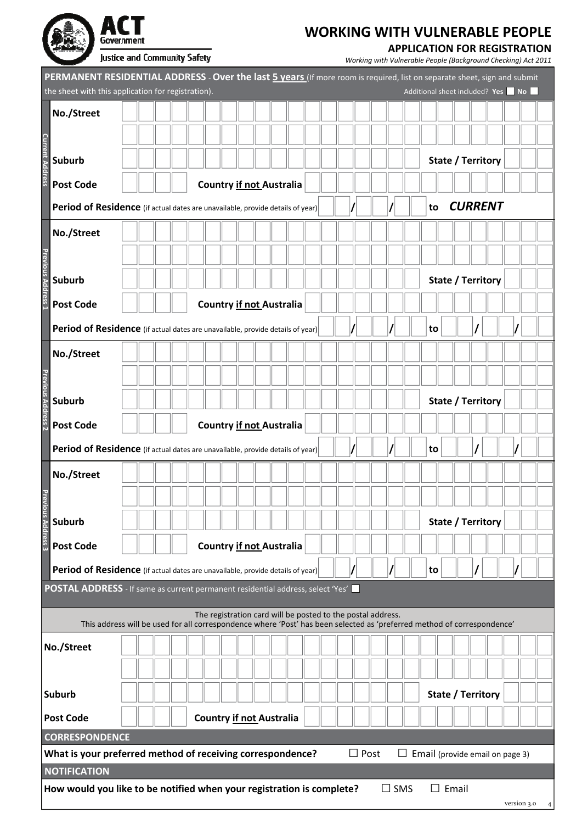| Government                   |
|------------------------------|
| Justice and Community Safety |

### **APPLICATION FOR REGISTRATION**

|                           | PERMANENT RESIDENTIAL ADDRESS - Over the last 5 years (If more room is required, list on separate sheet, sign and submit<br>the sheet with this application for registration). |  |  |  |  |  |  |                                 |  |  |  |  |  |                 |    |              |       |                   |                   | Additional sheet included? Yes No |  |
|---------------------------|--------------------------------------------------------------------------------------------------------------------------------------------------------------------------------|--|--|--|--|--|--|---------------------------------|--|--|--|--|--|-----------------|----|--------------|-------|-------------------|-------------------|-----------------------------------|--|
|                           | No./Street                                                                                                                                                                     |  |  |  |  |  |  |                                 |  |  |  |  |  |                 |    |              |       |                   |                   |                                   |  |
|                           |                                                                                                                                                                                |  |  |  |  |  |  |                                 |  |  |  |  |  |                 |    |              |       |                   |                   |                                   |  |
| <b>Current Address</b>    | <b>Suburb</b>                                                                                                                                                                  |  |  |  |  |  |  |                                 |  |  |  |  |  |                 |    |              |       |                   | State / Territory |                                   |  |
|                           |                                                                                                                                                                                |  |  |  |  |  |  |                                 |  |  |  |  |  |                 |    |              |       |                   |                   |                                   |  |
|                           | <b>Post Code</b>                                                                                                                                                               |  |  |  |  |  |  | <b>Country if not Australia</b> |  |  |  |  |  |                 |    |              |       |                   |                   |                                   |  |
|                           | Period of Residence (if actual dates are unavailable, provide details of year)                                                                                                 |  |  |  |  |  |  |                                 |  |  |  |  |  |                 | to |              |       |                   | <b>CURRENT</b>    |                                   |  |
|                           | No./Street                                                                                                                                                                     |  |  |  |  |  |  |                                 |  |  |  |  |  |                 |    |              |       |                   |                   |                                   |  |
|                           |                                                                                                                                                                                |  |  |  |  |  |  |                                 |  |  |  |  |  |                 |    |              |       |                   |                   |                                   |  |
|                           | <b>Suburb</b>                                                                                                                                                                  |  |  |  |  |  |  |                                 |  |  |  |  |  |                 |    |              |       |                   | State / Territory |                                   |  |
| <b>Previous Address 1</b> | <b>Post Code</b>                                                                                                                                                               |  |  |  |  |  |  | <b>Country if not Australia</b> |  |  |  |  |  |                 |    |              |       |                   |                   |                                   |  |
|                           |                                                                                                                                                                                |  |  |  |  |  |  |                                 |  |  |  |  |  |                 |    |              |       |                   |                   |                                   |  |
|                           | Period of Residence (if actual dates are unavailable, provide details of year)                                                                                                 |  |  |  |  |  |  |                                 |  |  |  |  |  |                 | to |              |       |                   |                   |                                   |  |
|                           | No./Street                                                                                                                                                                     |  |  |  |  |  |  |                                 |  |  |  |  |  |                 |    |              |       |                   |                   |                                   |  |
|                           |                                                                                                                                                                                |  |  |  |  |  |  |                                 |  |  |  |  |  |                 |    |              |       |                   |                   |                                   |  |
|                           | <b>Suburb</b>                                                                                                                                                                  |  |  |  |  |  |  |                                 |  |  |  |  |  |                 |    |              |       |                   | State / Territory |                                   |  |
| Previous Address 2        | <b>Post Code</b>                                                                                                                                                               |  |  |  |  |  |  | <b>Country if not Australia</b> |  |  |  |  |  |                 |    |              |       |                   |                   |                                   |  |
|                           | Period of Residence (if actual dates are unavailable, provide details of year)                                                                                                 |  |  |  |  |  |  |                                 |  |  |  |  |  |                 | to |              |       |                   |                   |                                   |  |
|                           |                                                                                                                                                                                |  |  |  |  |  |  |                                 |  |  |  |  |  |                 |    |              |       |                   |                   |                                   |  |
|                           | No./Street                                                                                                                                                                     |  |  |  |  |  |  |                                 |  |  |  |  |  |                 |    |              |       |                   |                   |                                   |  |
| Prev                      |                                                                                                                                                                                |  |  |  |  |  |  |                                 |  |  |  |  |  |                 |    |              |       |                   |                   |                                   |  |
| rious Address 3           | <b>Suburb</b>                                                                                                                                                                  |  |  |  |  |  |  |                                 |  |  |  |  |  |                 |    |              |       |                   | State / Territory |                                   |  |
|                           | <b>Post Code</b>                                                                                                                                                               |  |  |  |  |  |  | <b>Country if not Australia</b> |  |  |  |  |  |                 |    |              |       |                   |                   |                                   |  |
|                           | Period of Residence (if actual dates are unavailable, provide details of year)                                                                                                 |  |  |  |  |  |  |                                 |  |  |  |  |  |                 | to |              |       |                   |                   |                                   |  |
|                           | POSTAL ADDRESS - If same as current permanent residential address, select 'Yes'                                                                                                |  |  |  |  |  |  |                                 |  |  |  |  |  |                 |    |              |       |                   |                   |                                   |  |
|                           | The registration card will be posted to the postal address.                                                                                                                    |  |  |  |  |  |  |                                 |  |  |  |  |  |                 |    |              |       |                   |                   |                                   |  |
|                           | This address will be used for all correspondence where 'Post' has been selected as 'preferred method of correspondence'                                                        |  |  |  |  |  |  |                                 |  |  |  |  |  |                 |    |              |       |                   |                   |                                   |  |
|                           | No./Street                                                                                                                                                                     |  |  |  |  |  |  |                                 |  |  |  |  |  |                 |    |              |       |                   |                   |                                   |  |
|                           |                                                                                                                                                                                |  |  |  |  |  |  |                                 |  |  |  |  |  |                 |    |              |       |                   |                   |                                   |  |
|                           | <b>Suburb</b>                                                                                                                                                                  |  |  |  |  |  |  |                                 |  |  |  |  |  |                 |    |              |       | State / Territory |                   |                                   |  |
|                           | <b>Post Code</b>                                                                                                                                                               |  |  |  |  |  |  | <b>Country if not Australia</b> |  |  |  |  |  |                 |    |              |       |                   |                   |                                   |  |
|                           | <b>CORRESPONDENCE</b>                                                                                                                                                          |  |  |  |  |  |  |                                 |  |  |  |  |  |                 |    |              |       |                   |                   |                                   |  |
|                           | What is your preferred method of receiving correspondence?<br>$\Box$ Post<br>$\Box$ Email (provide email on page 3)                                                            |  |  |  |  |  |  |                                 |  |  |  |  |  |                 |    |              |       |                   |                   |                                   |  |
|                           | <b>NOTIFICATION</b>                                                                                                                                                            |  |  |  |  |  |  |                                 |  |  |  |  |  |                 |    |              |       |                   |                   |                                   |  |
|                           | How would you like to be notified when your registration is complete?                                                                                                          |  |  |  |  |  |  |                                 |  |  |  |  |  | $\sqsupset$ SMS |    | $\mathsf{L}$ | Email |                   |                   |                                   |  |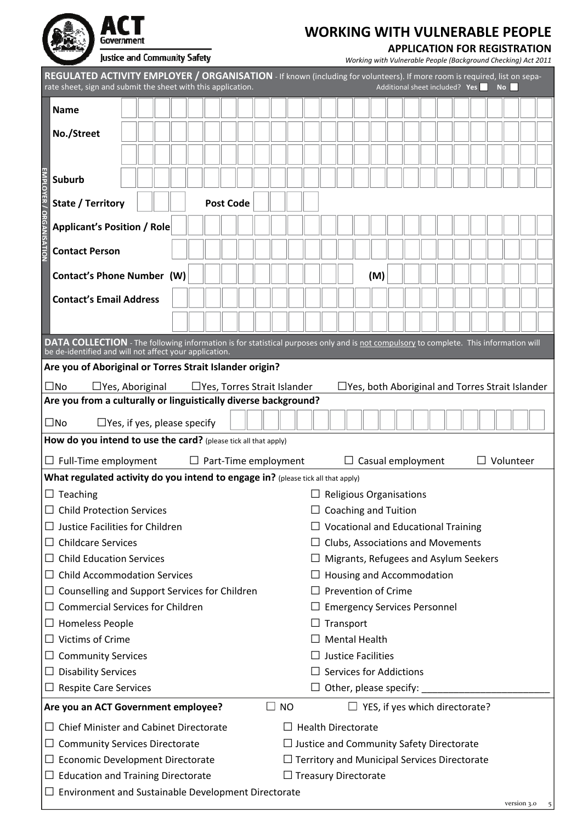| Government                   |
|------------------------------|
| Justice and Community Safety |

### **APPLICATION FOR REGISTRATION**

|                                       | REGULATED ACTIVITY EMPLOYER / ORGANISATION - If known (including for volunteers). If more room is required, list on sepa-<br>rate sheet, sign and submit the sheet with this application.<br>Additional sheet included? Yes<br><b>No</b> |  |  |  |  |  |                             |  |  |  |                                                     |                  |                           |                                            |  |  |  |  |                  |  |
|---------------------------------------|------------------------------------------------------------------------------------------------------------------------------------------------------------------------------------------------------------------------------------------|--|--|--|--|--|-----------------------------|--|--|--|-----------------------------------------------------|------------------|---------------------------|--------------------------------------------|--|--|--|--|------------------|--|
|                                       | <b>Name</b>                                                                                                                                                                                                                              |  |  |  |  |  |                             |  |  |  |                                                     |                  |                           |                                            |  |  |  |  |                  |  |
|                                       |                                                                                                                                                                                                                                          |  |  |  |  |  |                             |  |  |  |                                                     |                  |                           |                                            |  |  |  |  |                  |  |
|                                       | No./Street                                                                                                                                                                                                                               |  |  |  |  |  |                             |  |  |  |                                                     |                  |                           |                                            |  |  |  |  |                  |  |
|                                       |                                                                                                                                                                                                                                          |  |  |  |  |  |                             |  |  |  |                                                     |                  |                           |                                            |  |  |  |  |                  |  |
|                                       | <b>Suburb</b>                                                                                                                                                                                                                            |  |  |  |  |  |                             |  |  |  |                                                     |                  |                           |                                            |  |  |  |  |                  |  |
| State / Territory<br><b>Post Code</b> |                                                                                                                                                                                                                                          |  |  |  |  |  |                             |  |  |  |                                                     |                  |                           |                                            |  |  |  |  |                  |  |
|                                       |                                                                                                                                                                                                                                          |  |  |  |  |  |                             |  |  |  |                                                     |                  |                           |                                            |  |  |  |  |                  |  |
|                                       | <b>Applicant's Position / Role</b>                                                                                                                                                                                                       |  |  |  |  |  |                             |  |  |  |                                                     |                  |                           |                                            |  |  |  |  |                  |  |
| EMPLOYER / ORGANISATION               | <b>Contact Person</b>                                                                                                                                                                                                                    |  |  |  |  |  |                             |  |  |  |                                                     |                  |                           |                                            |  |  |  |  |                  |  |
|                                       |                                                                                                                                                                                                                                          |  |  |  |  |  |                             |  |  |  |                                                     |                  |                           |                                            |  |  |  |  |                  |  |
|                                       | Contact's Phone Number (W)                                                                                                                                                                                                               |  |  |  |  |  |                             |  |  |  |                                                     |                  |                           | (M)                                        |  |  |  |  |                  |  |
|                                       | <b>Contact's Email Address</b>                                                                                                                                                                                                           |  |  |  |  |  |                             |  |  |  |                                                     |                  |                           |                                            |  |  |  |  |                  |  |
|                                       |                                                                                                                                                                                                                                          |  |  |  |  |  |                             |  |  |  |                                                     |                  |                           |                                            |  |  |  |  |                  |  |
|                                       | DATA COLLECTION - The following information is for statistical purposes only and is not compulsory to complete. This information will<br>be de-identified and will not affect your application.                                          |  |  |  |  |  |                             |  |  |  |                                                     |                  |                           |                                            |  |  |  |  |                  |  |
|                                       | Are you of Aboriginal or Torres Strait Islander origin?                                                                                                                                                                                  |  |  |  |  |  |                             |  |  |  |                                                     |                  |                           |                                            |  |  |  |  |                  |  |
|                                       | $\square$ No<br>$\Box$ Yes, Torres Strait Islander<br>$\Box$ Yes, both Aboriginal and Torres Strait Islander<br>$\Box$ Yes, Aboriginal                                                                                                   |  |  |  |  |  |                             |  |  |  |                                                     |                  |                           |                                            |  |  |  |  |                  |  |
|                                       | Are you from a culturally or linguistically diverse background?                                                                                                                                                                          |  |  |  |  |  |                             |  |  |  |                                                     |                  |                           |                                            |  |  |  |  |                  |  |
|                                       | $\square$ No<br>$\Box$ Yes, if yes, please specify                                                                                                                                                                                       |  |  |  |  |  |                             |  |  |  |                                                     |                  |                           |                                            |  |  |  |  |                  |  |
|                                       | How do you intend to use the card? (please tick all that apply)                                                                                                                                                                          |  |  |  |  |  |                             |  |  |  |                                                     |                  |                           |                                            |  |  |  |  |                  |  |
|                                       | $\Box$ Full-Time employment                                                                                                                                                                                                              |  |  |  |  |  | $\Box$ Part-Time employment |  |  |  |                                                     |                  |                           | $\Box$ Casual employment                   |  |  |  |  | $\Box$ Volunteer |  |
|                                       | What regulated activity do you intend to engage in? (please tick all that apply)                                                                                                                                                         |  |  |  |  |  |                             |  |  |  |                                                     |                  |                           |                                            |  |  |  |  |                  |  |
|                                       | $\Box$ Teaching                                                                                                                                                                                                                          |  |  |  |  |  |                             |  |  |  |                                                     |                  |                           | $\Box$ Religious Organisations             |  |  |  |  |                  |  |
|                                       | <b>Child Protection Services</b>                                                                                                                                                                                                         |  |  |  |  |  |                             |  |  |  |                                                     |                  |                           | <b>Coaching and Tuition</b>                |  |  |  |  |                  |  |
|                                       | $\Box$ Justice Facilities for Children                                                                                                                                                                                                   |  |  |  |  |  |                             |  |  |  |                                                     |                  |                           | $\Box$ Vocational and Educational Training |  |  |  |  |                  |  |
|                                       | $\Box$ Childcare Services                                                                                                                                                                                                                |  |  |  |  |  |                             |  |  |  |                                                     |                  |                           | $\Box$ Clubs, Associations and Movements   |  |  |  |  |                  |  |
|                                       | $\Box$ Child Education Services                                                                                                                                                                                                          |  |  |  |  |  |                             |  |  |  |                                                     |                  |                           | Migrants, Refugees and Asylum Seekers      |  |  |  |  |                  |  |
|                                       | $\Box$ Child Accommodation Services                                                                                                                                                                                                      |  |  |  |  |  |                             |  |  |  |                                                     |                  |                           | Housing and Accommodation                  |  |  |  |  |                  |  |
|                                       | $\Box$ Counselling and Support Services for Children<br>$\Box$ Commercial Services for Children                                                                                                                                          |  |  |  |  |  |                             |  |  |  |                                                     |                  |                           | <b>Prevention of Crime</b>                 |  |  |  |  |                  |  |
|                                       | $\Box$ Homeless People                                                                                                                                                                                                                   |  |  |  |  |  |                             |  |  |  |                                                     | $\Box$ Transport |                           | $\Box$ Emergency Services Personnel        |  |  |  |  |                  |  |
|                                       | $\Box$ Victims of Crime                                                                                                                                                                                                                  |  |  |  |  |  |                             |  |  |  |                                                     |                  |                           | <b>Mental Health</b>                       |  |  |  |  |                  |  |
|                                       | $\Box$ Community Services                                                                                                                                                                                                                |  |  |  |  |  |                             |  |  |  |                                                     |                  |                           | <b>Justice Facilities</b>                  |  |  |  |  |                  |  |
|                                       | $\Box$ Disability Services                                                                                                                                                                                                               |  |  |  |  |  |                             |  |  |  |                                                     |                  |                           | <b>Services for Addictions</b>             |  |  |  |  |                  |  |
|                                       | $\Box$ Respite Care Services                                                                                                                                                                                                             |  |  |  |  |  |                             |  |  |  |                                                     |                  |                           | $\Box$ Other, please specify:              |  |  |  |  |                  |  |
|                                       | $\Box$<br><b>NO</b><br>Are you an ACT Government employee?<br>$\Box$ YES, if yes which directorate?                                                                                                                                      |  |  |  |  |  |                             |  |  |  |                                                     |                  |                           |                                            |  |  |  |  |                  |  |
|                                       | $\Box$ Chief Minister and Cabinet Directorate                                                                                                                                                                                            |  |  |  |  |  |                             |  |  |  |                                                     |                  | <b>Health Directorate</b> |                                            |  |  |  |  |                  |  |
|                                       | $\Box$ Community Services Directorate                                                                                                                                                                                                    |  |  |  |  |  |                             |  |  |  | $\Box$ Justice and Community Safety Directorate     |                  |                           |                                            |  |  |  |  |                  |  |
|                                       | $\Box$ Economic Development Directorate                                                                                                                                                                                                  |  |  |  |  |  |                             |  |  |  | $\Box$ Territory and Municipal Services Directorate |                  |                           |                                            |  |  |  |  |                  |  |
|                                       | $\Box$ Education and Training Directorate                                                                                                                                                                                                |  |  |  |  |  |                             |  |  |  | $\Box$ Treasury Directorate                         |                  |                           |                                            |  |  |  |  |                  |  |
|                                       | $\Box$ Environment and Sustainable Development Directorate                                                                                                                                                                               |  |  |  |  |  |                             |  |  |  |                                                     |                  |                           |                                            |  |  |  |  |                  |  |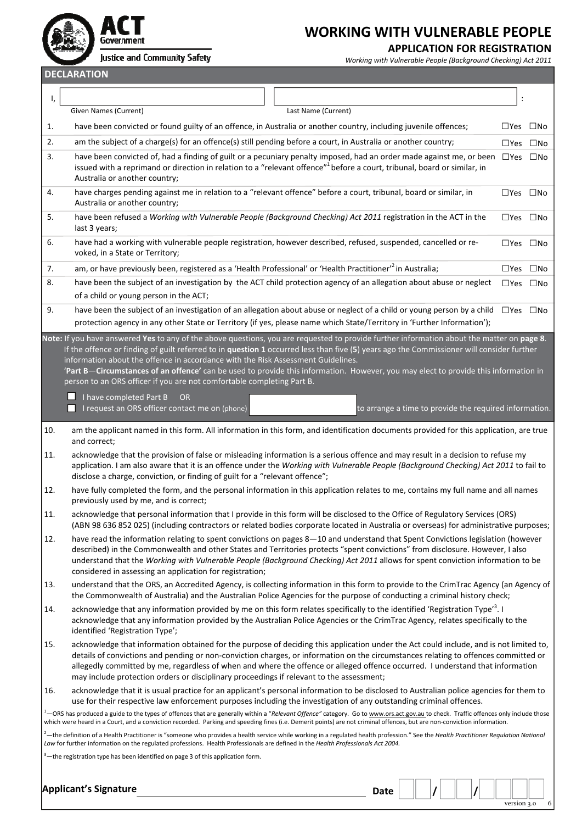

#### **APPLICATION FOR REGISTRATION**

version 3.0 6

Justice and Community Safety

*Working with Vulnerable People (Background Checking) Act 2011*

**DECLARATION**

| ı,                                                                                                                                                                                                                                                                                                                                                                                                                                                                                                                                                                                                                                                  |                                                                                                                                                                                                                                                                                                                                                                                                                                                                                                                                                                                              |               |                            |  |  |  |  |  |  |
|-----------------------------------------------------------------------------------------------------------------------------------------------------------------------------------------------------------------------------------------------------------------------------------------------------------------------------------------------------------------------------------------------------------------------------------------------------------------------------------------------------------------------------------------------------------------------------------------------------------------------------------------------------|----------------------------------------------------------------------------------------------------------------------------------------------------------------------------------------------------------------------------------------------------------------------------------------------------------------------------------------------------------------------------------------------------------------------------------------------------------------------------------------------------------------------------------------------------------------------------------------------|---------------|----------------------------|--|--|--|--|--|--|
|                                                                                                                                                                                                                                                                                                                                                                                                                                                                                                                                                                                                                                                     | Given Names (Current)<br>Last Name (Current)                                                                                                                                                                                                                                                                                                                                                                                                                                                                                                                                                 |               |                            |  |  |  |  |  |  |
| 1.                                                                                                                                                                                                                                                                                                                                                                                                                                                                                                                                                                                                                                                  | have been convicted or found guilty of an offence, in Australia or another country, including juvenile offences;                                                                                                                                                                                                                                                                                                                                                                                                                                                                             |               | $\square$ Yes $\square$ No |  |  |  |  |  |  |
| 2.                                                                                                                                                                                                                                                                                                                                                                                                                                                                                                                                                                                                                                                  | am the subject of a charge(s) for an offence(s) still pending before a court, in Australia or another country;                                                                                                                                                                                                                                                                                                                                                                                                                                                                               |               | $\Box$ Yes $\Box$ No       |  |  |  |  |  |  |
| 3.                                                                                                                                                                                                                                                                                                                                                                                                                                                                                                                                                                                                                                                  | have been convicted of, had a finding of guilt or a pecuniary penalty imposed, had an order made against me, or been $\Box$ Yes $\Box$ No<br>issued with a reprimand or direction in relation to a "relevant offence" <sup>1</sup> before a court, tribunal, board or similar, in<br>Australia or another country;                                                                                                                                                                                                                                                                           |               |                            |  |  |  |  |  |  |
| 4.                                                                                                                                                                                                                                                                                                                                                                                                                                                                                                                                                                                                                                                  | have charges pending against me in relation to a "relevant offence" before a court, tribunal, board or similar, in<br>Australia or another country;                                                                                                                                                                                                                                                                                                                                                                                                                                          |               | $\Box$ Yes $\Box$ No       |  |  |  |  |  |  |
| 5.                                                                                                                                                                                                                                                                                                                                                                                                                                                                                                                                                                                                                                                  | have been refused a Working with Vulnerable People (Background Checking) Act 2011 registration in the ACT in the<br>last 3 years;                                                                                                                                                                                                                                                                                                                                                                                                                                                            |               | $\square$ Yes $\square$ No |  |  |  |  |  |  |
| 6.                                                                                                                                                                                                                                                                                                                                                                                                                                                                                                                                                                                                                                                  | have had a working with vulnerable people registration, however described, refused, suspended, cancelled or re-<br>$\Box$ Yes $\Box$ No<br>voked, in a State or Territory;                                                                                                                                                                                                                                                                                                                                                                                                                   |               |                            |  |  |  |  |  |  |
| 7.                                                                                                                                                                                                                                                                                                                                                                                                                                                                                                                                                                                                                                                  | am, or have previously been, registered as a 'Health Professional' or 'Health Practitioner' <sup>2</sup> in Australia;                                                                                                                                                                                                                                                                                                                                                                                                                                                                       | $\square$ Yes | $\square$ No               |  |  |  |  |  |  |
| 8.                                                                                                                                                                                                                                                                                                                                                                                                                                                                                                                                                                                                                                                  | have been the subject of an investigation by the ACT child protection agency of an allegation about abuse or neglect<br>of a child or young person in the ACT;                                                                                                                                                                                                                                                                                                                                                                                                                               |               | $\square$ Yes $\square$ No |  |  |  |  |  |  |
| 9.                                                                                                                                                                                                                                                                                                                                                                                                                                                                                                                                                                                                                                                  | have been the subject of an investigation of an allegation about abuse or neglect of a child or young person by a child                                                                                                                                                                                                                                                                                                                                                                                                                                                                      |               | $\square$ Yes $\square$ No |  |  |  |  |  |  |
|                                                                                                                                                                                                                                                                                                                                                                                                                                                                                                                                                                                                                                                     | protection agency in any other State or Territory (if yes, please name which State/Territory in 'Further Information');                                                                                                                                                                                                                                                                                                                                                                                                                                                                      |               |                            |  |  |  |  |  |  |
|                                                                                                                                                                                                                                                                                                                                                                                                                                                                                                                                                                                                                                                     | Note: If you have answered Yes to any of the above questions, you are requested to provide further information about the matter on page 8.<br>If the offence or finding of guilt referred to in question 1 occurred less than five (5) years ago the Commissioner will consider further<br>information about the offence in accordance with the Risk Assessment Guidelines.<br>'Part B-Circumstances of an offence' can be used to provide this information. However, you may elect to provide this information in<br>person to an ORS officer if you are not comfortable completing Part B. |               |                            |  |  |  |  |  |  |
|                                                                                                                                                                                                                                                                                                                                                                                                                                                                                                                                                                                                                                                     | I have completed Part B<br><b>OR</b><br>I request an ORS officer contact me on (phone)<br>to arrange a time to provide the required information.                                                                                                                                                                                                                                                                                                                                                                                                                                             |               |                            |  |  |  |  |  |  |
| am the applicant named in this form. All information in this form, and identification documents provided for this application, are true<br>10.<br>and correct;                                                                                                                                                                                                                                                                                                                                                                                                                                                                                      |                                                                                                                                                                                                                                                                                                                                                                                                                                                                                                                                                                                              |               |                            |  |  |  |  |  |  |
| 11.                                                                                                                                                                                                                                                                                                                                                                                                                                                                                                                                                                                                                                                 | acknowledge that the provision of false or misleading information is a serious offence and may result in a decision to refuse my<br>application. I am also aware that it is an offence under the Working with Vulnerable People (Background Checking) Act 2011 to fail to<br>disclose a charge, conviction, or finding of guilt for a "relevant offence";                                                                                                                                                                                                                                    |               |                            |  |  |  |  |  |  |
| 12.                                                                                                                                                                                                                                                                                                                                                                                                                                                                                                                                                                                                                                                 | have fully completed the form, and the personal information in this application relates to me, contains my full name and all names<br>previously used by me, and is correct;                                                                                                                                                                                                                                                                                                                                                                                                                 |               |                            |  |  |  |  |  |  |
| 11.                                                                                                                                                                                                                                                                                                                                                                                                                                                                                                                                                                                                                                                 | acknowledge that personal information that I provide in this form will be disclosed to the Office of Regulatory Services (ORS)<br>(ABN 98 636 852 025) (including contractors or related bodies corporate located in Australia or overseas) for administrative purposes;                                                                                                                                                                                                                                                                                                                     |               |                            |  |  |  |  |  |  |
| 12.                                                                                                                                                                                                                                                                                                                                                                                                                                                                                                                                                                                                                                                 | have read the information relating to spent convictions on pages 8-10 and understand that Spent Convictions legislation (however<br>described) in the Commonwealth and other States and Territories protects "spent convictions" from disclosure. However, I also<br>understand that the Working with Vulnerable People (Background Checking) Act 2011 allows for spent conviction information to be<br>considered in assessing an application for registration;                                                                                                                             |               |                            |  |  |  |  |  |  |
| 13.                                                                                                                                                                                                                                                                                                                                                                                                                                                                                                                                                                                                                                                 | understand that the ORS, an Accredited Agency, is collecting information in this form to provide to the CrimTrac Agency (an Agency of<br>the Commonwealth of Australia) and the Australian Police Agencies for the purpose of conducting a criminal history check;                                                                                                                                                                                                                                                                                                                           |               |                            |  |  |  |  |  |  |
| 14.                                                                                                                                                                                                                                                                                                                                                                                                                                                                                                                                                                                                                                                 | acknowledge that any information provided by me on this form relates specifically to the identified 'Registration Type' <sup>3</sup> . I<br>acknowledge that any information provided by the Australian Police Agencies or the CrimTrac Agency, relates specifically to the<br>identified 'Registration Type';                                                                                                                                                                                                                                                                               |               |                            |  |  |  |  |  |  |
| 15.<br>acknowledge that information obtained for the purpose of deciding this application under the Act could include, and is not limited to,<br>details of convictions and pending or non-conviction charges, or information on the circumstances relating to offences committed or<br>allegedly committed by me, regardless of when and where the offence or alleged offence occurred. I understand that information<br>may include protection orders or disciplinary proceedings if relevant to the assessment;                                                                                                                                  |                                                                                                                                                                                                                                                                                                                                                                                                                                                                                                                                                                                              |               |                            |  |  |  |  |  |  |
| acknowledge that it is usual practice for an applicant's personal information to be disclosed to Australian police agencies for them to<br>16.<br>use for their respective law enforcement purposes including the investigation of any outstanding criminal offences.<br><sup>1</sup> —ORS has produced a guide to the types of offences that are generally within a "Relevant Offence" category. Go to www.ors.act.gov.au to check. Traffic offences only include those<br>which were heard in a Court, and a conviction recorded. Parking and speeding fines (i.e. Demerit points) are not criminal offences, but are non-conviction information. |                                                                                                                                                                                                                                                                                                                                                                                                                                                                                                                                                                                              |               |                            |  |  |  |  |  |  |
|                                                                                                                                                                                                                                                                                                                                                                                                                                                                                                                                                                                                                                                     | <sup>2</sup> —the definition of a Health Practitioner is "someone who provides a health service while working in a regulated health profession." See the Health Practitioner Regulation National<br>Law for further information on the regulated professions. Health Professionals are defined in the Health Professionals Act 2004.<br><sup>3</sup> -the registration type has been identified on page 3 of this application form.                                                                                                                                                          |               |                            |  |  |  |  |  |  |
|                                                                                                                                                                                                                                                                                                                                                                                                                                                                                                                                                                                                                                                     | <b>Applicant's Signature</b><br><b>Date</b>                                                                                                                                                                                                                                                                                                                                                                                                                                                                                                                                                  |               |                            |  |  |  |  |  |  |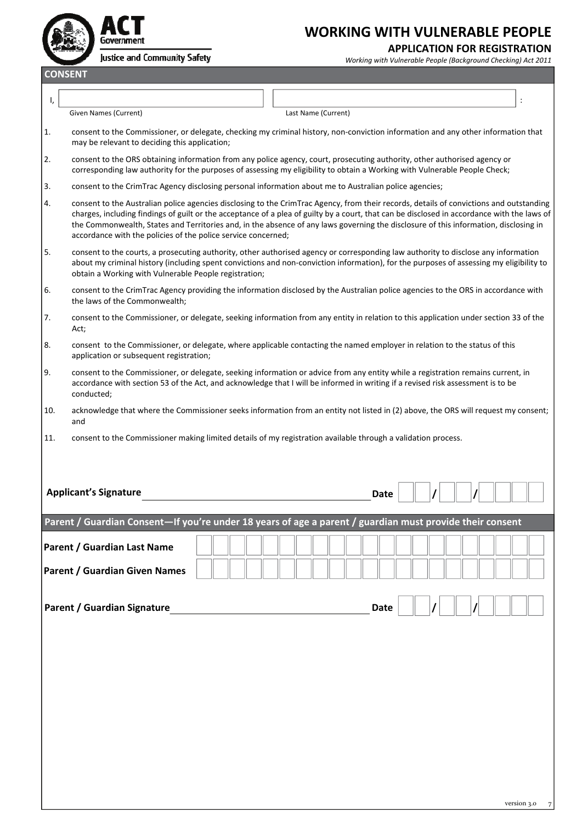

#### **APPLICATION FOR REGISTRATION**

*Working with Vulnerable People (Background Checking) Act 2011*

**CONSENT**

Given Names (Current) Last Name (Current)

1. consent to the Commissioner, or delegate, checking my criminal history, non‐conviction information and any other information that may be relevant to deciding this application;

I,  $\vert$ 

- 2. consent to the ORS obtaining information from any police agency, court, prosecuting authority, other authorised agency or corresponding law authority for the purposes of assessing my eligibility to obtain a Working with Vulnerable People Check;
- 3. consent to the CrimTrac Agency disclosing personal information about me to Australian police agencies;
- 4. consent to the Australian police agencies disclosing to the CrimTrac Agency, from their records, details of convictions and outstanding charges, including findings of guilt or the acceptance of a plea of guilty by a court, that can be disclosed in accordance with the laws of the Commonwealth, States and Territories and, in the absence of any laws governing the disclosure of this information, disclosing in accordance with the policies of the police service concerned;
- 5. consent to the courts, a prosecuting authority, other authorised agency or corresponding law authority to disclose any information about my criminal history (including spent convictions and non-conviction information), for the purposes of assessing my eligibility to obtain a Working with Vulnerable People registration;
- 6. consent to the CrimTrac Agency providing the information disclosed by the Australian police agencies to the ORS in accordance with the laws of the Commonwealth;
- 7. consent to the Commissioner, or delegate, seeking information from any entity in relation to this application under section 33 of the Act;
- 8. consent to the Commissioner, or delegate, where applicable contacting the named employer in relation to the status of this application or subsequent registration;
- 9. consent to the Commissioner, or delegate, seeking information or advice from any entity while a registration remains current, in accordance with section 53 of the Act, and acknowledge that I will be informed in writing if a revised risk assessment is to be conducted;
- 10. acknowledge that where the Commissioner seeks information from an entity not listed in (2) above, the ORS will request my consent; and
- 11. consent to the Commissioner making limited details of my registration available through a validation process.

| <b>Applicant's Signature</b>                                 |                                                                                                          | <b>Date</b> |  |             |
|--------------------------------------------------------------|----------------------------------------------------------------------------------------------------------|-------------|--|-------------|
|                                                              | Parent / Guardian Consent-If you're under 18 years of age a parent / guardian must provide their consent |             |  |             |
| Parent / Guardian Last Name<br>Parent / Guardian Given Names |                                                                                                          |             |  |             |
| Parent / Guardian Signature                                  |                                                                                                          | Date        |  |             |
|                                                              |                                                                                                          |             |  |             |
|                                                              |                                                                                                          |             |  |             |
|                                                              |                                                                                                          |             |  |             |
|                                                              |                                                                                                          |             |  |             |
|                                                              |                                                                                                          |             |  | version 3.0 |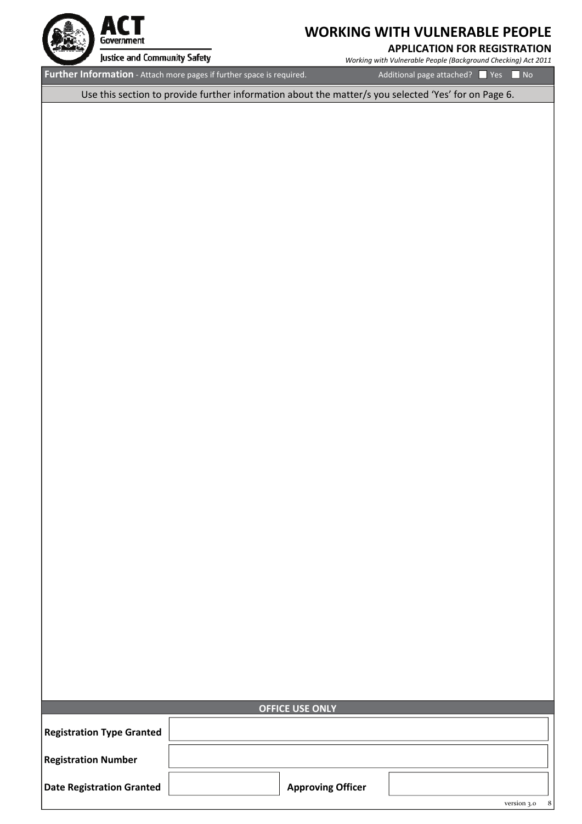

#### **APPLICATION FOR REGISTRATION**

*Working with Vulnerable People (Background Checking) Act 2011*

**Further Information** ‐ Attach more pages if further space is required. Additional page attached? Yes No

Use this section to provide further information about the matter/s you selected 'Yes' for on Page 6.

|                                  | <b>OFFICE USE ONLY</b>   |                  |
|----------------------------------|--------------------------|------------------|
| <b>Registration Type Granted</b> |                          |                  |
| <b>Registration Number</b>       |                          |                  |
| <b>Date Registration Granted</b> | <b>Approving Officer</b> | version 3.0<br>8 |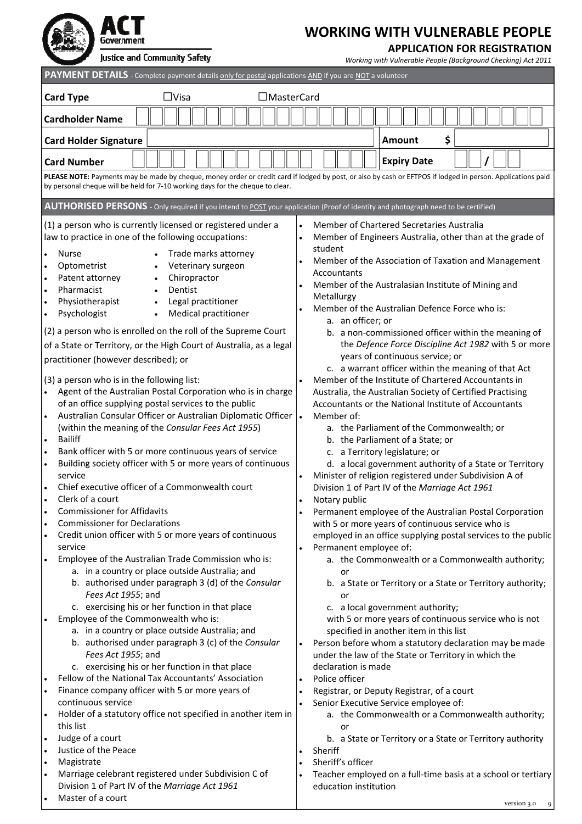n Government

# **WORKING WITH VULNERABLE PEOPLE**

### **APPLICATION FOR REGISTRATION**

| Justice and Community Safety                                                                                                                                                                                                                                                                                                                                                                                                                                                                                                                                                                                                                                                                                                                                                                                                                                                                                                                                                                                                                                                                                                                                                                                                                                                                                                                                                                                                                                                                                                                                                                | Working with Vulnerable People (Background Checking) Act 2011                                                                                                                                                                                                                                                                                                                                                                                                                                                                                                                                                                                                                                                                                                                                                                                                                                                                                                                                                                                                                                                                                                                                                                                                                                                                                                                                           |
|---------------------------------------------------------------------------------------------------------------------------------------------------------------------------------------------------------------------------------------------------------------------------------------------------------------------------------------------------------------------------------------------------------------------------------------------------------------------------------------------------------------------------------------------------------------------------------------------------------------------------------------------------------------------------------------------------------------------------------------------------------------------------------------------------------------------------------------------------------------------------------------------------------------------------------------------------------------------------------------------------------------------------------------------------------------------------------------------------------------------------------------------------------------------------------------------------------------------------------------------------------------------------------------------------------------------------------------------------------------------------------------------------------------------------------------------------------------------------------------------------------------------------------------------------------------------------------------------|---------------------------------------------------------------------------------------------------------------------------------------------------------------------------------------------------------------------------------------------------------------------------------------------------------------------------------------------------------------------------------------------------------------------------------------------------------------------------------------------------------------------------------------------------------------------------------------------------------------------------------------------------------------------------------------------------------------------------------------------------------------------------------------------------------------------------------------------------------------------------------------------------------------------------------------------------------------------------------------------------------------------------------------------------------------------------------------------------------------------------------------------------------------------------------------------------------------------------------------------------------------------------------------------------------------------------------------------------------------------------------------------------------|
| PAYMENT DETAILS - Complete payment details only for postal applications AND if you are NOT a volunteer                                                                                                                                                                                                                                                                                                                                                                                                                                                                                                                                                                                                                                                                                                                                                                                                                                                                                                                                                                                                                                                                                                                                                                                                                                                                                                                                                                                                                                                                                      |                                                                                                                                                                                                                                                                                                                                                                                                                                                                                                                                                                                                                                                                                                                                                                                                                                                                                                                                                                                                                                                                                                                                                                                                                                                                                                                                                                                                         |
| $\Box$ Visa<br>□MasterCard<br><b>Card Type</b>                                                                                                                                                                                                                                                                                                                                                                                                                                                                                                                                                                                                                                                                                                                                                                                                                                                                                                                                                                                                                                                                                                                                                                                                                                                                                                                                                                                                                                                                                                                                              |                                                                                                                                                                                                                                                                                                                                                                                                                                                                                                                                                                                                                                                                                                                                                                                                                                                                                                                                                                                                                                                                                                                                                                                                                                                                                                                                                                                                         |
|                                                                                                                                                                                                                                                                                                                                                                                                                                                                                                                                                                                                                                                                                                                                                                                                                                                                                                                                                                                                                                                                                                                                                                                                                                                                                                                                                                                                                                                                                                                                                                                             |                                                                                                                                                                                                                                                                                                                                                                                                                                                                                                                                                                                                                                                                                                                                                                                                                                                                                                                                                                                                                                                                                                                                                                                                                                                                                                                                                                                                         |
| <b>Cardholder Name</b>                                                                                                                                                                                                                                                                                                                                                                                                                                                                                                                                                                                                                                                                                                                                                                                                                                                                                                                                                                                                                                                                                                                                                                                                                                                                                                                                                                                                                                                                                                                                                                      |                                                                                                                                                                                                                                                                                                                                                                                                                                                                                                                                                                                                                                                                                                                                                                                                                                                                                                                                                                                                                                                                                                                                                                                                                                                                                                                                                                                                         |
| <b>Card Holder Signature</b>                                                                                                                                                                                                                                                                                                                                                                                                                                                                                                                                                                                                                                                                                                                                                                                                                                                                                                                                                                                                                                                                                                                                                                                                                                                                                                                                                                                                                                                                                                                                                                | \$<br><b>Amount</b>                                                                                                                                                                                                                                                                                                                                                                                                                                                                                                                                                                                                                                                                                                                                                                                                                                                                                                                                                                                                                                                                                                                                                                                                                                                                                                                                                                                     |
| <b>Card Number</b>                                                                                                                                                                                                                                                                                                                                                                                                                                                                                                                                                                                                                                                                                                                                                                                                                                                                                                                                                                                                                                                                                                                                                                                                                                                                                                                                                                                                                                                                                                                                                                          | <b>Expiry Date</b>                                                                                                                                                                                                                                                                                                                                                                                                                                                                                                                                                                                                                                                                                                                                                                                                                                                                                                                                                                                                                                                                                                                                                                                                                                                                                                                                                                                      |
| by personal cheque will be held for 7-10 working days for the cheque to clear.                                                                                                                                                                                                                                                                                                                                                                                                                                                                                                                                                                                                                                                                                                                                                                                                                                                                                                                                                                                                                                                                                                                                                                                                                                                                                                                                                                                                                                                                                                              | PLEASE NOTE: Payments may be made by cheque, money order or credit card if lodged by post, or also by cash or EFTPOS if lodged in person. Applications paid                                                                                                                                                                                                                                                                                                                                                                                                                                                                                                                                                                                                                                                                                                                                                                                                                                                                                                                                                                                                                                                                                                                                                                                                                                             |
|                                                                                                                                                                                                                                                                                                                                                                                                                                                                                                                                                                                                                                                                                                                                                                                                                                                                                                                                                                                                                                                                                                                                                                                                                                                                                                                                                                                                                                                                                                                                                                                             |                                                                                                                                                                                                                                                                                                                                                                                                                                                                                                                                                                                                                                                                                                                                                                                                                                                                                                                                                                                                                                                                                                                                                                                                                                                                                                                                                                                                         |
| AUTHORISED PERSONS - Only required if you intend to POST your application (Proof of identity and photograph need to be certified)                                                                                                                                                                                                                                                                                                                                                                                                                                                                                                                                                                                                                                                                                                                                                                                                                                                                                                                                                                                                                                                                                                                                                                                                                                                                                                                                                                                                                                                           |                                                                                                                                                                                                                                                                                                                                                                                                                                                                                                                                                                                                                                                                                                                                                                                                                                                                                                                                                                                                                                                                                                                                                                                                                                                                                                                                                                                                         |
| (1) a person who is currently licensed or registered under a<br>law to practice in one of the following occupations:<br>Trade marks attorney<br><b>Nurse</b><br>$\bullet$<br>Optometrist<br>Veterinary surgeon<br>I۰<br>Chiropractor<br>Patent attorney<br>I۰<br>Pharmacist<br>Dentist<br>I۰<br>Physiotherapist<br>Legal practitioner<br>I۰<br>$\bullet$<br>Psychologist<br><b>Medical practitioner</b><br>$\bullet$<br>$\bullet$<br>(2) a person who is enrolled on the roll of the Supreme Court<br>of a State or Territory, or the High Court of Australia, as a legal<br>practitioner (however described); or<br>(3) a person who is in the following list:<br>Agent of the Australian Postal Corporation who is in charge<br>of an office supplying postal services to the public<br>Australian Consular Officer or Australian Diplomatic Officer<br>$\bullet$<br>(within the meaning of the Consular Fees Act 1955)<br><b>Bailiff</b><br>I۰<br>Bank officer with 5 or more continuous years of service<br>I۰<br>Building society officer with 5 or more years of continuous<br>$\bullet$<br>service<br>Chief executive officer of a Commonwealth court<br>I۰<br>Clerk of a court<br>$\bullet$<br><b>Commissioner for Affidavits</b><br>I۰<br><b>Commissioner for Declarations</b><br>$\bullet$<br>Credit union officer with 5 or more years of continuous<br>$\bullet$<br>service<br>Employee of the Australian Trade Commission who is:<br>$\bullet$<br>a. in a country or place outside Australia; and<br>b. authorised under paragraph 3 (d) of the Consular<br>Fees Act 1955; and | Member of Chartered Secretaries Australia<br>Member of Engineers Australia, other than at the grade of<br>student<br>Member of the Association of Taxation and Management<br>Accountants<br>Member of the Australasian Institute of Mining and<br>Metallurgy<br>Member of the Australian Defence Force who is:<br>a. an officer; or<br>b. a non-commissioned officer within the meaning of<br>the Defence Force Discipline Act 1982 with 5 or more<br>years of continuous service; or<br>c. a warrant officer within the meaning of that Act<br>Member of the Institute of Chartered Accountants in<br>Australia, the Australian Society of Certified Practising<br>Accountants or the National Institute of Accountants<br>Member of:<br>$\bullet$<br>a. the Parliament of the Commonwealth; or<br>b. the Parliament of a State; or<br>c. a Territory legislature; or<br>d. a local government authority of a State or Territory<br>Minister of religion registered under Subdivision A of<br>Division 1 of Part IV of the Marriage Act 1961<br>Notary public<br>Permanent employee of the Australian Postal Corporation<br>with 5 or more years of continuous service who is<br>employed in an office supplying postal services to the public<br>Permanent employee of:<br>a. the Commonwealth or a Commonwealth authority;<br>or<br>b. a State or Territory or a State or Territory authority;<br>or |
| c. exercising his or her function in that place<br>Employee of the Commonwealth who is:<br>a. in a country or place outside Australia; and<br>b. authorised under paragraph 3 (c) of the Consular<br>Fees Act 1955; and<br>c. exercising his or her function in that place                                                                                                                                                                                                                                                                                                                                                                                                                                                                                                                                                                                                                                                                                                                                                                                                                                                                                                                                                                                                                                                                                                                                                                                                                                                                                                                  | c. a local government authority;<br>with 5 or more years of continuous service who is not<br>specified in another item in this list<br>Person before whom a statutory declaration may be made<br>$\bullet$<br>under the law of the State or Territory in which the<br>declaration is made                                                                                                                                                                                                                                                                                                                                                                                                                                                                                                                                                                                                                                                                                                                                                                                                                                                                                                                                                                                                                                                                                                               |
| Fellow of the National Tax Accountants' Association<br>Finance company officer with 5 or more years of<br>continuous service                                                                                                                                                                                                                                                                                                                                                                                                                                                                                                                                                                                                                                                                                                                                                                                                                                                                                                                                                                                                                                                                                                                                                                                                                                                                                                                                                                                                                                                                | Police officer<br>Registrar, or Deputy Registrar, of a court<br>Senior Executive Service employee of:                                                                                                                                                                                                                                                                                                                                                                                                                                                                                                                                                                                                                                                                                                                                                                                                                                                                                                                                                                                                                                                                                                                                                                                                                                                                                                   |
| Holder of a statutory office not specified in another item in<br>this list<br>Judge of a court<br>I۰<br>Justice of the Peace<br>I۰<br>Magistrate<br>I۰                                                                                                                                                                                                                                                                                                                                                                                                                                                                                                                                                                                                                                                                                                                                                                                                                                                                                                                                                                                                                                                                                                                                                                                                                                                                                                                                                                                                                                      | a. the Commonwealth or a Commonwealth authority;<br>or<br>b. a State or Territory or a State or Territory authority<br>Sheriff<br>Sheriff's officer                                                                                                                                                                                                                                                                                                                                                                                                                                                                                                                                                                                                                                                                                                                                                                                                                                                                                                                                                                                                                                                                                                                                                                                                                                                     |
| Marriage celebrant registered under Subdivision C of<br>Division 1 of Part IV of the Marriage Act 1961<br>Master of a court<br>$\bullet$                                                                                                                                                                                                                                                                                                                                                                                                                                                                                                                                                                                                                                                                                                                                                                                                                                                                                                                                                                                                                                                                                                                                                                                                                                                                                                                                                                                                                                                    | Teacher employed on a full-time basis at a school or tertiary<br>education institution                                                                                                                                                                                                                                                                                                                                                                                                                                                                                                                                                                                                                                                                                                                                                                                                                                                                                                                                                                                                                                                                                                                                                                                                                                                                                                                  |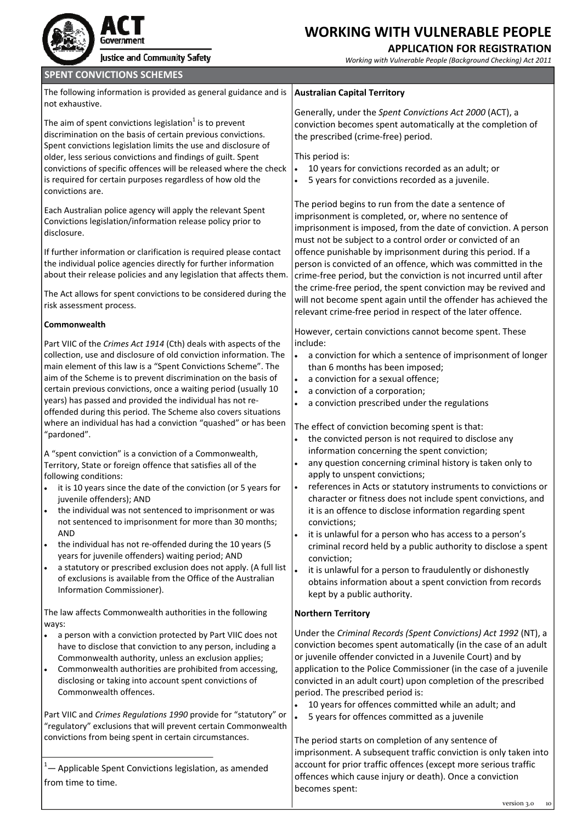| Government  |
|-------------|
| Justice and |

### **APPLICATION FOR REGISTRATION**

| Justice and Community Safety                                                                                                                                                                                                                                                                                                                                                                                                                                                                                                                                                                                                                                                                                                                                                                                                                                                                                                                                                                                                                                                                                                                                                                                                                                     | Working with Vulnerable People (Background Checking) Act 2011                                                                                                                                                                                                                                                                                                                                                                                                                                                                                                                                                                                                                                                                                                                                                                                                                                                                                                                                                                                            |
|------------------------------------------------------------------------------------------------------------------------------------------------------------------------------------------------------------------------------------------------------------------------------------------------------------------------------------------------------------------------------------------------------------------------------------------------------------------------------------------------------------------------------------------------------------------------------------------------------------------------------------------------------------------------------------------------------------------------------------------------------------------------------------------------------------------------------------------------------------------------------------------------------------------------------------------------------------------------------------------------------------------------------------------------------------------------------------------------------------------------------------------------------------------------------------------------------------------------------------------------------------------|----------------------------------------------------------------------------------------------------------------------------------------------------------------------------------------------------------------------------------------------------------------------------------------------------------------------------------------------------------------------------------------------------------------------------------------------------------------------------------------------------------------------------------------------------------------------------------------------------------------------------------------------------------------------------------------------------------------------------------------------------------------------------------------------------------------------------------------------------------------------------------------------------------------------------------------------------------------------------------------------------------------------------------------------------------|
| <b>SPENT CONVICTIONS SCHEMES</b>                                                                                                                                                                                                                                                                                                                                                                                                                                                                                                                                                                                                                                                                                                                                                                                                                                                                                                                                                                                                                                                                                                                                                                                                                                 |                                                                                                                                                                                                                                                                                                                                                                                                                                                                                                                                                                                                                                                                                                                                                                                                                                                                                                                                                                                                                                                          |
| The following information is provided as general guidance and is<br>not exhaustive.                                                                                                                                                                                                                                                                                                                                                                                                                                                                                                                                                                                                                                                                                                                                                                                                                                                                                                                                                                                                                                                                                                                                                                              | <b>Australian Capital Territory</b>                                                                                                                                                                                                                                                                                                                                                                                                                                                                                                                                                                                                                                                                                                                                                                                                                                                                                                                                                                                                                      |
| The aim of spent convictions legislation <sup>1</sup> is to prevent<br>discrimination on the basis of certain previous convictions.<br>Spent convictions legislation limits the use and disclosure of<br>older, less serious convictions and findings of guilt. Spent<br>convictions of specific offences will be released where the check<br>is required for certain purposes regardless of how old the<br>convictions are.                                                                                                                                                                                                                                                                                                                                                                                                                                                                                                                                                                                                                                                                                                                                                                                                                                     | Generally, under the Spent Convictions Act 2000 (ACT), a<br>conviction becomes spent automatically at the completion of<br>the prescribed (crime-free) period.<br>This period is:<br>10 years for convictions recorded as an adult; or<br>$\bullet$<br>5 years for convictions recorded as a juvenile.                                                                                                                                                                                                                                                                                                                                                                                                                                                                                                                                                                                                                                                                                                                                                   |
| Each Australian police agency will apply the relevant Spent<br>Convictions legislation/information release policy prior to<br>disclosure.<br>If further information or clarification is required please contact                                                                                                                                                                                                                                                                                                                                                                                                                                                                                                                                                                                                                                                                                                                                                                                                                                                                                                                                                                                                                                                  | The period begins to run from the date a sentence of<br>imprisonment is completed, or, where no sentence of<br>imprisonment is imposed, from the date of conviction. A person<br>must not be subject to a control order or convicted of an<br>offence punishable by imprisonment during this period. If a                                                                                                                                                                                                                                                                                                                                                                                                                                                                                                                                                                                                                                                                                                                                                |
| the individual police agencies directly for further information<br>about their release policies and any legislation that affects them.                                                                                                                                                                                                                                                                                                                                                                                                                                                                                                                                                                                                                                                                                                                                                                                                                                                                                                                                                                                                                                                                                                                           | person is convicted of an offence, which was committed in the<br>crime-free period, but the conviction is not incurred until after<br>the crime-free period, the spent conviction may be revived and                                                                                                                                                                                                                                                                                                                                                                                                                                                                                                                                                                                                                                                                                                                                                                                                                                                     |
| The Act allows for spent convictions to be considered during the<br>risk assessment process.                                                                                                                                                                                                                                                                                                                                                                                                                                                                                                                                                                                                                                                                                                                                                                                                                                                                                                                                                                                                                                                                                                                                                                     | will not become spent again until the offender has achieved the<br>relevant crime-free period in respect of the later offence.                                                                                                                                                                                                                                                                                                                                                                                                                                                                                                                                                                                                                                                                                                                                                                                                                                                                                                                           |
| Commonwealth                                                                                                                                                                                                                                                                                                                                                                                                                                                                                                                                                                                                                                                                                                                                                                                                                                                                                                                                                                                                                                                                                                                                                                                                                                                     | However, certain convictions cannot become spent. These                                                                                                                                                                                                                                                                                                                                                                                                                                                                                                                                                                                                                                                                                                                                                                                                                                                                                                                                                                                                  |
| Part VIIC of the Crimes Act 1914 (Cth) deals with aspects of the<br>collection, use and disclosure of old conviction information. The<br>main element of this law is a "Spent Convictions Scheme". The<br>aim of the Scheme is to prevent discrimination on the basis of<br>certain previous convictions, once a waiting period (usually 10<br>years) has passed and provided the individual has not re-<br>offended during this period. The Scheme also covers situations<br>where an individual has had a conviction "quashed" or has been<br>"pardoned".<br>A "spent conviction" is a conviction of a Commonwealth,<br>Territory, State or foreign offence that satisfies all of the<br>following conditions:<br>it is 10 years since the date of the conviction (or 5 years for<br>juvenile offenders); AND<br>the individual was not sentenced to imprisonment or was<br>$\bullet$<br>not sentenced to imprisonment for more than 30 months;<br><b>AND</b><br>the individual has not re-offended during the 10 years (5<br>$\bullet$<br>years for juvenile offenders) waiting period; AND<br>a statutory or prescribed exclusion does not apply. (A full list<br>of exclusions is available from the Office of the Australian<br>Information Commissioner). | include:<br>a conviction for which a sentence of imprisonment of longer<br>$\bullet$<br>than 6 months has been imposed;<br>a conviction for a sexual offence;<br>a conviction of a corporation;<br>a conviction prescribed under the regulations<br>The effect of conviction becoming spent is that:<br>the convicted person is not required to disclose any<br>information concerning the spent conviction;<br>any question concerning criminal history is taken only to<br>apply to unspent convictions;<br>references in Acts or statutory instruments to convictions or<br>$\bullet$<br>character or fitness does not include spent convictions, and<br>it is an offence to disclose information regarding spent<br>convictions;<br>it is unlawful for a person who has access to a person's<br>criminal record held by a public authority to disclose a spent<br>conviction;<br>it is unlawful for a person to fraudulently or dishonestly<br>$\bullet$<br>obtains information about a spent conviction from records<br>kept by a public authority. |
| The law affects Commonwealth authorities in the following                                                                                                                                                                                                                                                                                                                                                                                                                                                                                                                                                                                                                                                                                                                                                                                                                                                                                                                                                                                                                                                                                                                                                                                                        | <b>Northern Territory</b>                                                                                                                                                                                                                                                                                                                                                                                                                                                                                                                                                                                                                                                                                                                                                                                                                                                                                                                                                                                                                                |
| ways:<br>a person with a conviction protected by Part VIIC does not<br>$\bullet$<br>have to disclose that conviction to any person, including a<br>Commonwealth authority, unless an exclusion applies;<br>Commonwealth authorities are prohibited from accessing,<br>$\bullet$<br>disclosing or taking into account spent convictions of<br>Commonwealth offences.<br>Part VIIC and Crimes Regulations 1990 provide for "statutory" or<br>"regulatory" exclusions that will prevent certain Commonwealth<br>convictions from being spent in certain circumstances.<br><sup>1</sup> - Applicable Spent Convictions legislation, as amended<br>from time to time.                                                                                                                                                                                                                                                                                                                                                                                                                                                                                                                                                                                                 | Under the Criminal Records (Spent Convictions) Act 1992 (NT), a<br>conviction becomes spent automatically (in the case of an adult<br>or juvenile offender convicted in a Juvenile Court) and by<br>application to the Police Commissioner (in the case of a juvenile<br>convicted in an adult court) upon completion of the prescribed<br>period. The prescribed period is:<br>10 years for offences committed while an adult; and<br>$\bullet$<br>5 years for offences committed as a juvenile<br>The period starts on completion of any sentence of<br>imprisonment. A subsequent traffic conviction is only taken into<br>account for prior traffic offences (except more serious traffic<br>offences which cause injury or death). Once a conviction<br>becomes spent:                                                                                                                                                                                                                                                                              |
|                                                                                                                                                                                                                                                                                                                                                                                                                                                                                                                                                                                                                                                                                                                                                                                                                                                                                                                                                                                                                                                                                                                                                                                                                                                                  | version 3.0 10                                                                                                                                                                                                                                                                                                                                                                                                                                                                                                                                                                                                                                                                                                                                                                                                                                                                                                                                                                                                                                           |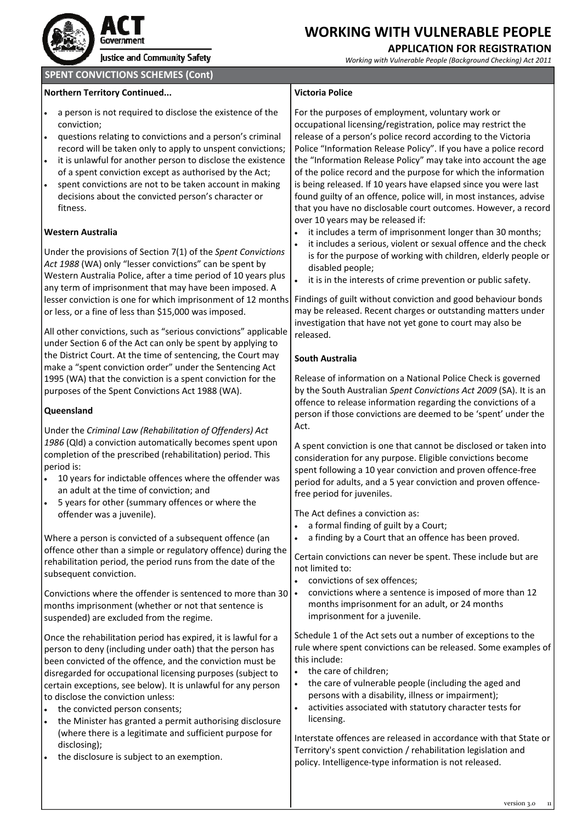

# Government

Justice and Community Safety

### **WORKING WITH VULNERABLE PEOPLE**

### **APPLICATION FOR REGISTRATION**

| <b>SPENT CONVICTIONS SCHEMES (Cont)</b>                                                                                                                                                                                                                                                                                                                                                                                                                                                                                                                                               |                                                                                                                                                                                                                                                                                                                                                                                                                                                                                                                                                                                                                                            |
|---------------------------------------------------------------------------------------------------------------------------------------------------------------------------------------------------------------------------------------------------------------------------------------------------------------------------------------------------------------------------------------------------------------------------------------------------------------------------------------------------------------------------------------------------------------------------------------|--------------------------------------------------------------------------------------------------------------------------------------------------------------------------------------------------------------------------------------------------------------------------------------------------------------------------------------------------------------------------------------------------------------------------------------------------------------------------------------------------------------------------------------------------------------------------------------------------------------------------------------------|
| <b>Northern Territory Continued</b>                                                                                                                                                                                                                                                                                                                                                                                                                                                                                                                                                   | <b>Victoria Police</b>                                                                                                                                                                                                                                                                                                                                                                                                                                                                                                                                                                                                                     |
| a person is not required to disclose the existence of the<br>conviction;<br>questions relating to convictions and a person's criminal<br>record will be taken only to apply to unspent convictions;<br>it is unlawful for another person to disclose the existence<br>of a spent conviction except as authorised by the Act;<br>spent convictions are not to be taken account in making<br>$\bullet$<br>decisions about the convicted person's character or<br>fitness.                                                                                                               | For the purposes of employment, voluntary work or<br>occupational licensing/registration, police may restrict the<br>release of a person's police record according to the Victoria<br>Police "Information Release Policy". If you have a police record<br>the "Information Release Policy" may take into account the age<br>of the police record and the purpose for which the information<br>is being released. If 10 years have elapsed since you were last<br>found guilty of an offence, police will, in most instances, advise<br>that you have no disclosable court outcomes. However, a record<br>over 10 years may be released if: |
| <b>Western Australia</b><br>Under the provisions of Section 7(1) of the Spent Convictions<br>Act 1988 (WA) only "lesser convictions" can be spent by<br>Western Australia Police, after a time period of 10 years plus<br>any term of imprisonment that may have been imposed. A<br>lesser conviction is one for which imprisonment of 12 months<br>or less, or a fine of less than \$15,000 was imposed.                                                                                                                                                                             | it includes a term of imprisonment longer than 30 months;<br>it includes a serious, violent or sexual offence and the check<br>is for the purpose of working with children, elderly people or<br>disabled people;<br>it is in the interests of crime prevention or public safety.<br>$\bullet$<br>Findings of guilt without conviction and good behaviour bonds<br>may be released. Recent charges or outstanding matters under<br>investigation that have not yet gone to court may also be                                                                                                                                               |
| All other convictions, such as "serious convictions" applicable<br>under Section 6 of the Act can only be spent by applying to<br>the District Court. At the time of sentencing, the Court may<br>make a "spent conviction order" under the Sentencing Act<br>1995 (WA) that the conviction is a spent conviction for the<br>purposes of the Spent Convictions Act 1988 (WA).<br>Queensland                                                                                                                                                                                           | released.<br><b>South Australia</b><br>Release of information on a National Police Check is governed<br>by the South Australian Spent Convictions Act 2009 (SA). It is an<br>offence to release information regarding the convictions of a<br>person if those convictions are deemed to be 'spent' under the                                                                                                                                                                                                                                                                                                                               |
| Under the Criminal Law (Rehabilitation of Offenders) Act<br>1986 (Qld) a conviction automatically becomes spent upon<br>completion of the prescribed (rehabilitation) period. This<br>period is:<br>10 years for indictable offences where the offender was<br>$\bullet$<br>an adult at the time of conviction; and<br>5 years for other (summary offences or where the                                                                                                                                                                                                               | Act.<br>A spent conviction is one that cannot be disclosed or taken into<br>consideration for any purpose. Eligible convictions become<br>spent following a 10 year conviction and proven offence-free<br>period for adults, and a 5 year conviction and proven offence-<br>free period for juveniles.                                                                                                                                                                                                                                                                                                                                     |
| offender was a juvenile).<br>Where a person is convicted of a subsequent offence (an<br>offence other than a simple or regulatory offence) during the<br>rehabilitation period, the period runs from the date of the<br>subsequent conviction.<br>Convictions where the offender is sentenced to more than 30<br>months imprisonment (whether or not that sentence is<br>suspended) are excluded from the regime.                                                                                                                                                                     | The Act defines a conviction as:<br>a formal finding of guilt by a Court;<br>a finding by a Court that an offence has been proved.<br>Certain convictions can never be spent. These include but are<br>not limited to:<br>convictions of sex offences;<br>convictions where a sentence is imposed of more than 12<br>months imprisonment for an adult, or 24 months<br>imprisonment for a juvenile.                                                                                                                                                                                                                                        |
| Once the rehabilitation period has expired, it is lawful for a<br>person to deny (including under oath) that the person has<br>been convicted of the offence, and the conviction must be<br>disregarded for occupational licensing purposes (subject to<br>certain exceptions, see below). It is unlawful for any person<br>to disclose the conviction unless:<br>the convicted person consents;<br>the Minister has granted a permit authorising disclosure<br>(where there is a legitimate and sufficient purpose for<br>disclosing);<br>the disclosure is subject to an exemption. | Schedule 1 of the Act sets out a number of exceptions to the<br>rule where spent convictions can be released. Some examples of<br>this include:<br>the care of children;<br>the care of vulnerable people (including the aged and<br>persons with a disability, illness or impairment);<br>activities associated with statutory character tests for<br>$\bullet$<br>licensing.<br>Interstate offences are released in accordance with that State or<br>Territory's spent conviction / rehabilitation legislation and<br>policy. Intelligence-type information is not released.                                                             |